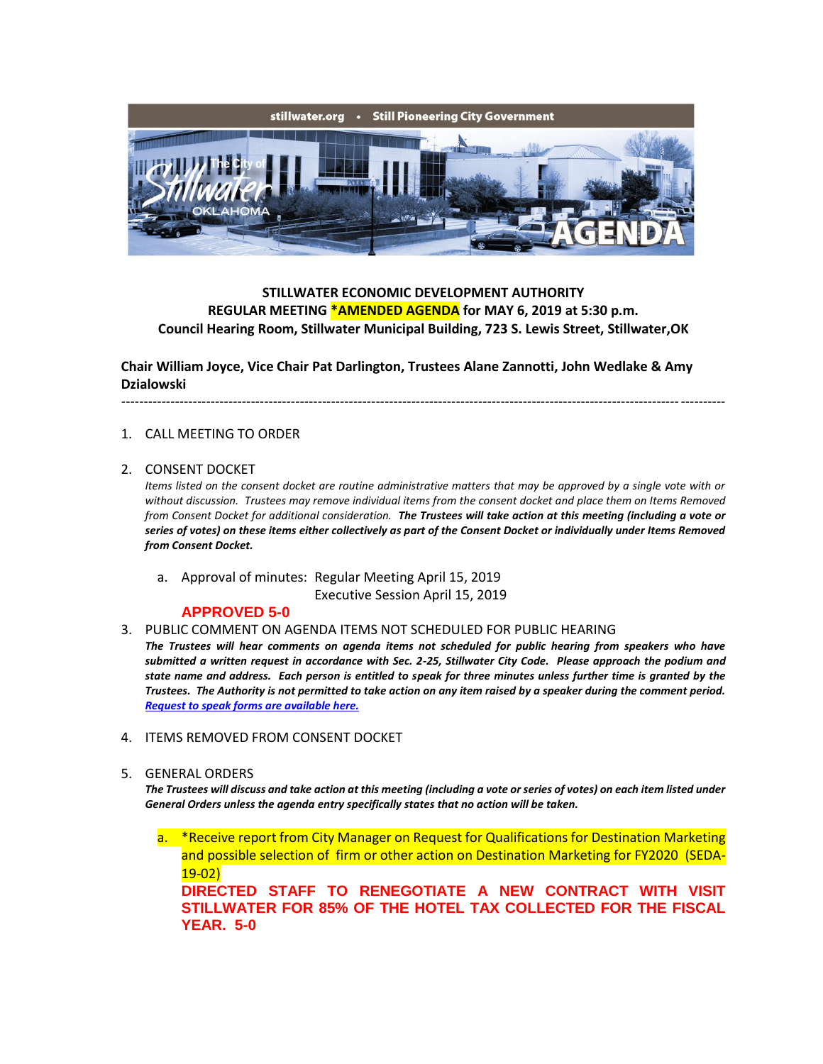

# **STILLWATER ECONOMIC DEVELOPMENT AUTHORITY REGULAR MEETING \*AMENDED AGENDA for MAY 6, 2019 at 5:30 p.m. Council Hearing Room, Stillwater Municipal Building, 723 S. Lewis Street, Stillwater,OK**

**Chair William Joyce, Vice Chair Pat Darlington, Trustees Alane Zannotti, John Wedlake & Amy Dzialowski**

## ---------------------------------------------------------------------------------------------------------------------------------------

#### 1. CALL MEETING TO ORDER

#### 2. CONSENT DOCKET

*Items listed on the consent docket are routine administrative matters that may be approved by a single vote with or without discussion. Trustees may remove individual items from the consent docket and place them on Items Removed from Consent Docket for additional consideration. The Trustees will take action at this meeting (including a vote or series of votes) on these items either collectively as part of the Consent Docket or individually under Items Removed from Consent Docket.*

a. Approval of minutes: Regular Meeting April 15, 2019

Executive Session April 15, 2019

### **APPROVED 5-0**

#### 3. PUBLIC COMMENT ON AGENDA ITEMS NOT SCHEDULED FOR PUBLIC HEARING

*The Trustees will hear comments on agenda items not scheduled for public hearing from speakers who have submitted a written request in accordance with Sec. 2-25, Stillwater City Code. Please approach the podium and state name and address. Each person is entitled to speak for three minutes unless further time is granted by the Trustees. The Authority is not permitted to take action on any item raised by a speaker during the comment period. [Request to speak forms are available here.](http://stillwater.org/document/request_to_speak_at_city_council.php)*

- 4. ITEMS REMOVED FROM CONSENT DOCKET
- 5. GENERAL ORDERS

*The Trustees will discuss and take action at this meeting (including a vote or series of votes) on each item listed under General Orders unless the agenda entry specifically states that no action will be taken.*

a. \*Receive report from City Manager on Request for Qualifications for Destination Marketing and possible selection of firm or other action on Destination Marketing for FY2020 (SEDA-19-02) **DIRECTED STAFF TO RENEGOTIATE A NEW CONTRACT WITH VISIT STILLWATER FOR 85% OF THE HOTEL TAX COLLECTED FOR THE FISCAL YEAR. 5-0**